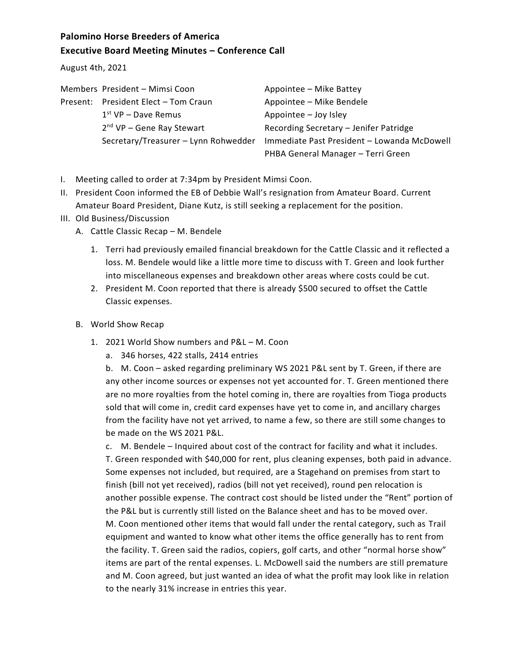## **Palomino Horse Breeders of America Executive Board Meeting Minutes – Conference Call**

August 4th, 2021

| Members President - Mimsi Coon       | Appointee - Mike Battey                     |
|--------------------------------------|---------------------------------------------|
| Present: President Elect - Tom Craun | Appointee - Mike Bendele                    |
| $1st$ VP – Dave Remus                | Appointee - Joy Isley                       |
| $2nd$ VP – Gene Ray Stewart          | Recording Secretary - Jenifer Patridge      |
| Secretary/Treasurer - Lynn Rohwedder | Immediate Past President - Lowanda McDowell |
|                                      | PHBA General Manager - Terri Green          |

- I. Meeting called to order at 7:34pm by President Mimsi Coon.
- II. President Coon informed the EB of Debbie Wall's resignation from Amateur Board. Current Amateur Board President, Diane Kutz, is still seeking a replacement for the position.
- III. Old Business/Discussion
	- A. Cattle Classic Recap M. Bendele
		- 1. Terri had previously emailed financial breakdown for the Cattle Classic and it reflected a loss. M. Bendele would like a little more time to discuss with T. Green and look further into miscellaneous expenses and breakdown other areas where costs could be cut.
		- 2. President M. Coon reported that there is already \$500 secured to offset the Cattle Classic expenses.
	- B. World Show Recap
		- 1. 2021 World Show numbers and P&L M. Coon
			- a. 346 horses, 422 stalls, 2414 entries

b. M. Coon – asked regarding preliminary WS 2021 P&L sent by T. Green, if there are any other income sources or expenses not yet accounted for. T. Green mentioned there are no more royalties from the hotel coming in, there are royalties from Tioga products sold that will come in, credit card expenses have yet to come in, and ancillary charges from the facility have not yet arrived, to name a few, so there are still some changes to be made on the WS 2021 P&L.

c. M. Bendele – Inquired about cost of the contract for facility and what it includes. T. Green responded with \$40,000 for rent, plus cleaning expenses, both paid in advance. Some expenses not included, but required, are a Stagehand on premises from start to finish (bill not yet received), radios (bill not yet received), round pen relocation is another possible expense. The contract cost should be listed under the "Rent" portion of the P&L but is currently still listed on the Balance sheet and has to be moved over. M. Coon mentioned other items that would fall under the rental category, such as Trail equipment and wanted to know what other items the office generally has to rent from the facility. T. Green said the radios, copiers, golf carts, and other "normal horse show" items are part of the rental expenses. L. McDowell said the numbers are still premature and M. Coon agreed, but just wanted an idea of what the profit may look like in relation to the nearly 31% increase in entries this year.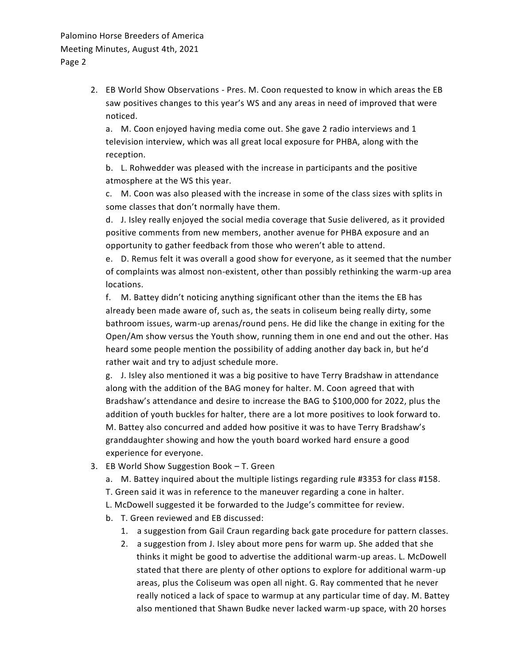2. EB World Show Observations - Pres. M. Coon requested to know in which areas the EB saw positives changes to this year's WS and any areas in need of improved that were noticed.

a. M. Coon enjoyed having media come out. She gave 2 radio interviews and 1 television interview, which was all great local exposure for PHBA, along with the reception.

b. L. Rohwedder was pleased with the increase in participants and the positive atmosphere at the WS this year.

c. M. Coon was also pleased with the increase in some of the class sizes with splits in some classes that don't normally have them.

d. J. Isley really enjoyed the social media coverage that Susie delivered, as it provided positive comments from new members, another avenue for PHBA exposure and an opportunity to gather feedback from those who weren't able to attend.

e. D. Remus felt it was overall a good show for everyone, as it seemed that the number of complaints was almost non-existent, other than possibly rethinking the warm-up area locations.

f. M. Battey didn't noticing anything significant other than the items the EB has already been made aware of, such as, the seats in coliseum being really dirty, some bathroom issues, warm-up arenas/round pens. He did like the change in exiting for the Open/Am show versus the Youth show, running them in one end and out the other. Has heard some people mention the possibility of adding another day back in, but he'd rather wait and try to adjust schedule more.

g. J. Isley also mentioned it was a big positive to have Terry Bradshaw in attendance along with the addition of the BAG money for halter. M. Coon agreed that with Bradshaw's attendance and desire to increase the BAG to \$100,000 for 2022, plus the addition of youth buckles for halter, there are a lot more positives to look forward to. M. Battey also concurred and added how positive it was to have Terry Bradshaw's granddaughter showing and how the youth board worked hard ensure a good experience for everyone.

- 3. EB World Show Suggestion Book T. Green
	- a. M. Battey inquired about the multiple listings regarding rule #3353 for class #158.
	- T. Green said it was in reference to the maneuver regarding a cone in halter.
	- L. McDowell suggested it be forwarded to the Judge's committee for review.
	- b. T. Green reviewed and EB discussed:
		- 1. a suggestion from Gail Craun regarding back gate procedure for pattern classes.
		- 2. a suggestion from J. Isley about more pens for warm up. She added that she thinks it might be good to advertise the additional warm-up areas. L. McDowell stated that there are plenty of other options to explore for additional warm-up areas, plus the Coliseum was open all night. G. Ray commented that he never really noticed a lack of space to warmup at any particular time of day. M. Battey also mentioned that Shawn Budke never lacked warm-up space, with 20 horses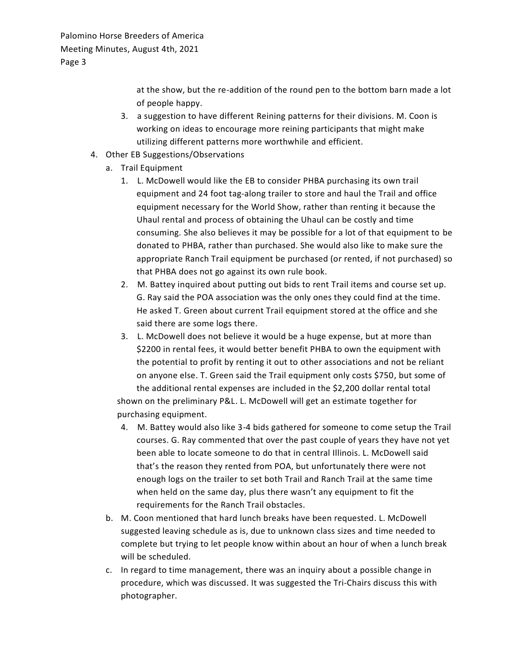> at the show, but the re-addition of the round pen to the bottom barn made a lot of people happy.

- 3. a suggestion to have different Reining patterns for their divisions. M. Coon is working on ideas to encourage more reining participants that might make utilizing different patterns more worthwhile and efficient.
- 4. Other EB Suggestions/Observations
	- a. Trail Equipment
		- 1. L. McDowell would like the EB to consider PHBA purchasing its own trail equipment and 24 foot tag-along trailer to store and haul the Trail and office equipment necessary for the World Show, rather than renting it because the Uhaul rental and process of obtaining the Uhaul can be costly and time consuming. She also believes it may be possible for a lot of that equipment to be donated to PHBA, rather than purchased. She would also like to make sure the appropriate Ranch Trail equipment be purchased (or rented, if not purchased) so that PHBA does not go against its own rule book.
		- 2. M. Battey inquired about putting out bids to rent Trail items and course set up. G. Ray said the POA association was the only ones they could find at the time. He asked T. Green about current Trail equipment stored at the office and she said there are some logs there.
		- 3. L. McDowell does not believe it would be a huge expense, but at more than \$2200 in rental fees, it would better benefit PHBA to own the equipment with the potential to profit by renting it out to other associations and not be reliant on anyone else. T. Green said the Trail equipment only costs \$750, but some of the additional rental expenses are included in the \$2,200 dollar rental total

shown on the preliminary P&L. L. McDowell will get an estimate together for purchasing equipment.

- 4. M. Battey would also like 3-4 bids gathered for someone to come setup the Trail courses. G. Ray commented that over the past couple of years they have not yet been able to locate someone to do that in central Illinois. L. McDowell said that's the reason they rented from POA, but unfortunately there were not enough logs on the trailer to set both Trail and Ranch Trail at the same time when held on the same day, plus there wasn't any equipment to fit the requirements for the Ranch Trail obstacles.
- b. M. Coon mentioned that hard lunch breaks have been requested. L. McDowell suggested leaving schedule as is, due to unknown class sizes and time needed to complete but trying to let people know within about an hour of when a lunch break will be scheduled.
- c. In regard to time management, there was an inquiry about a possible change in procedure, which was discussed. It was suggested the Tri-Chairs discuss this with photographer.